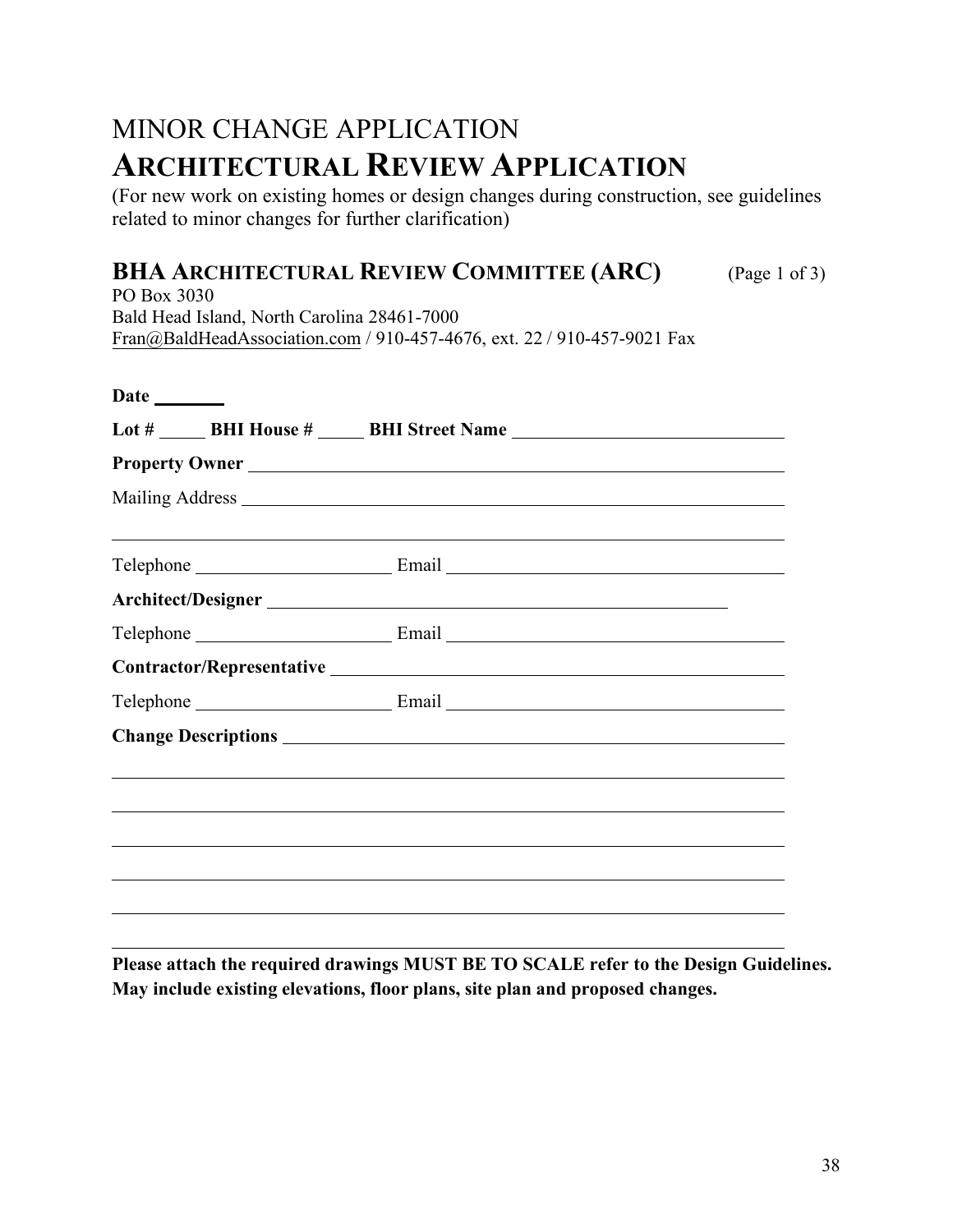## MINOR CHANGE APPLICATION **ARCHITECTURAL REVIEW APPLICATION**

(For new work on existing homes or design changes during construction, see guidelines related to minor changes for further clarification)

## **BHA ARCHITECTURAL REVIEW COMMITTEE (ARC)** (Page 1 of 3)

PO Box 3030 Bald Head Island, North Carolina 28461-7000 Fra[n@BaldHeadAssociation.com](mailto:Karen@BaldHeadAssociation.com) / 910-457-4676, ext. 22 / 910-457-9021 Fax

| Date _______ |                                                                                  |
|--------------|----------------------------------------------------------------------------------|
|              | Lot # _______ BHI House # ______ BHI Street Name _______________________________ |
|              | Property Owner                                                                   |
|              |                                                                                  |
|              |                                                                                  |
|              |                                                                                  |
|              |                                                                                  |
|              |                                                                                  |
|              |                                                                                  |
|              |                                                                                  |
|              |                                                                                  |
|              |                                                                                  |
|              |                                                                                  |
|              |                                                                                  |
|              |                                                                                  |
|              |                                                                                  |
|              |                                                                                  |

**Please attach the required drawings MUST BE TO SCALE refer to the Design Guidelines. May include existing elevations, floor plans, site plan and proposed changes.**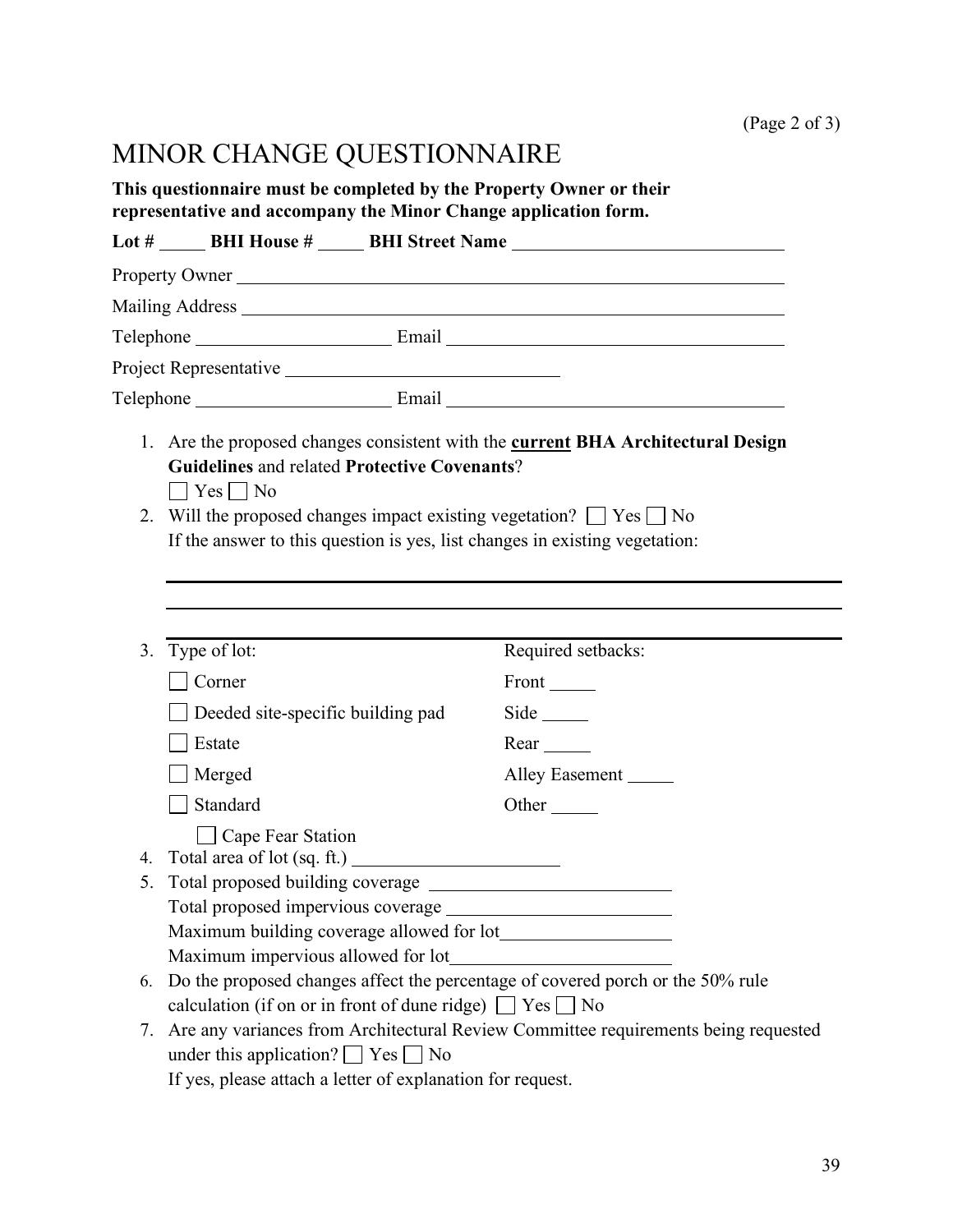## MINOR CHANGE QUESTIONNAIRE

**This questionnaire must be completed by the Property Owner or their representative and accompany the Minor Change application form.** 

|    |                                                                                                                                                                                               | Lot # _______ BHI House # ______ BHI Street Name _______________________________ |  |
|----|-----------------------------------------------------------------------------------------------------------------------------------------------------------------------------------------------|----------------------------------------------------------------------------------|--|
|    | Property Owner                                                                                                                                                                                |                                                                                  |  |
|    |                                                                                                                                                                                               |                                                                                  |  |
|    |                                                                                                                                                                                               |                                                                                  |  |
|    |                                                                                                                                                                                               |                                                                                  |  |
|    |                                                                                                                                                                                               |                                                                                  |  |
|    | <b>Guidelines and related Protective Covenants?</b><br>$\vert$   Yes     No                                                                                                                   | 1. Are the proposed changes consistent with the current BHA Architectural Design |  |
| 2. | Will the proposed changes impact existing vegetation? $\Box$ Yes $\Box$ No<br>If the answer to this question is yes, list changes in existing vegetation:                                     |                                                                                  |  |
| 3. | Type of lot:                                                                                                                                                                                  | Required setbacks:                                                               |  |
|    | Corner                                                                                                                                                                                        |                                                                                  |  |
|    | Deeded site-specific building pad                                                                                                                                                             | Side $\_\_\_\_\_\_\$                                                             |  |
|    | Estate                                                                                                                                                                                        | $Rear$ <sub>______</sub>                                                         |  |
|    | Merged                                                                                                                                                                                        | Alley Easement                                                                   |  |
|    | Standard                                                                                                                                                                                      | Other                                                                            |  |
|    | $\Box$ Cape Fear Station                                                                                                                                                                      |                                                                                  |  |
| 4. |                                                                                                                                                                                               |                                                                                  |  |
| 5. |                                                                                                                                                                                               |                                                                                  |  |
|    |                                                                                                                                                                                               |                                                                                  |  |
|    | Maximum impervious allowed for lot_                                                                                                                                                           |                                                                                  |  |
| 6. | Do the proposed changes affect the percentage of covered porch or the 50% rule<br>calculation (if on or in front of dune ridge) $\Box$ Yes $\Box$ No                                          |                                                                                  |  |
| 7. | Are any variances from Architectural Review Committee requirements being requested<br>under this application? $\Box$ Yes $\Box$ No<br>If yes please attach a letter of evaluation for request |                                                                                  |  |

If yes, please attach a letter of explanation for request.